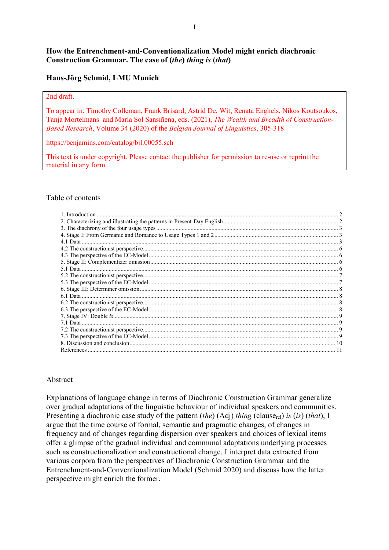## **How the Entrenchment-and-Conventionalization Model might enrich diachronic Construction Grammar. The case of (***the***)** *thing is* **(***that***)**

### **Hans-Jörg Schmid, LMU Munich**

### 2nd draft.

To appear in: Timothy Colleman, Frank Brisard, Astrid De, Wit, Renata Enghels, Nikos Koutsoukos, Tanja Mortelmans and María Sol Sansiñena, eds. (2021), *The Wealth and Breadth of Construction-Based Research*, Volume 34 (2020) of the *Belgian Journal of Linguistics*, 305-318

https://benjamins.com/catalog/bjl.00055.sch

This text is under copyright. Please contact the publisher for permission to re-use or reprint the material in any form.

#### Table of contents

| 1. Introduction |  |
|-----------------|--|
|                 |  |
|                 |  |
|                 |  |
|                 |  |
|                 |  |
|                 |  |
|                 |  |
|                 |  |
|                 |  |
|                 |  |
|                 |  |
|                 |  |
|                 |  |
|                 |  |
|                 |  |
|                 |  |
|                 |  |
|                 |  |
|                 |  |
|                 |  |

#### Abstract

Explanations of language change in terms of Diachronic Construction Grammar generalize over gradual adaptations of the linguistic behaviour of individual speakers and communities. Presenting a diachronic case study of the pattern *(the)* (Adj) *thing* (clause<sub>rel</sub>) *is (is)* (*that*), I argue that the time course of formal, semantic and pragmatic changes, of changes in frequency and of changes regarding dispersion over speakers and choices of lexical items offer a glimpse of the gradual individual and communal adaptations underlying processes such as constructionalization and constructional change. I interpret data extracted from various corpora from the perspectives of Diachronic Construction Grammar and the Entrenchment-and-Conventionalization Model (Schmid 2020) and discuss how the latter perspective might enrich the former.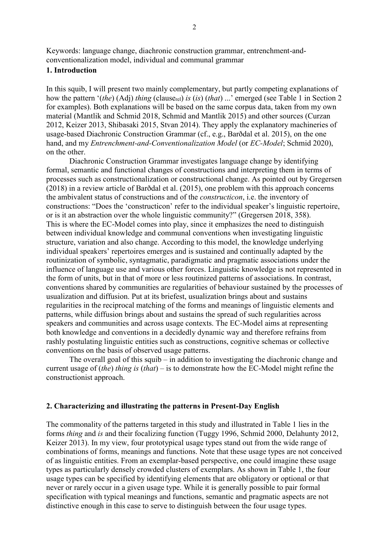Keywords: language change, diachronic construction grammar, entrenchment-andconventionalization model, individual and communal grammar

## <span id="page-1-0"></span>**1. Introduction**

In this squib, I will present two mainly complementary, but partly competing explanations of how the pattern '(*the*) (Adj) *thing* (clause<sub>rel</sub>) *is* (*is*) (*that*) ...' emerged (see Table 1 in Section 2 for examples). Both explanations will be based on the same corpus data, taken from my own material (Mantlik and Schmid 2018, Schmid and Mantlik 2015) and other sources (Curzan 2012, Keizer 2013, Shibasaki 2015, Stvan 2014). They apply the explanatory machineries of usage-based Diachronic Construction Grammar (cf., e.g., Barðdal et al. 2015), on the one hand, and my *Entrenchment-and-Conventionalization Model* (or *EC-Model*; Schmid 2020), on the other.

Diachronic Construction Grammar investigates language change by identifying formal, semantic and functional changes of constructions and interpreting them in terms of processes such as constructionalization or constructional change. As pointed out by Gregersen (2018) in a review article of Barðdal et al. (2015), one problem with this approach concerns the ambivalent status of constructions and of the *constructicon*, i.e. the inventory of constructions: "Does the 'constructicon' refer to the individual speaker's linguistic repertoire, or is it an abstraction over the whole linguistic community?" (Gregersen 2018, 358). This is where the EC-Model comes into play, since it emphasizes the need to distinguish between individual knowledge and communal conventions when investigating linguistic structure, variation and also change. According to this model, the knowledge underlying individual speakers' repertoires emerges and is sustained and continually adapted by the routinization of symbolic, syntagmatic, paradigmatic and pragmatic associations under the influence of language use and various other forces. Linguistic knowledge is not represented in the form of units, but in that of more or less routinized patterns of associations. In contrast, conventions shared by communities are regularities of behaviour sustained by the processes of usualization and diffusion. Put at its briefest, usualization brings about and sustains regularities in the reciprocal matching of the forms and meanings of linguistic elements and patterns, while diffusion brings about and sustains the spread of such regularities across speakers and communities and across usage contexts. The EC-Model aims at representing both knowledge and conventions in a decidedly dynamic way and therefore refrains from rashly postulating linguistic entities such as constructions, cognitive schemas or collective conventions on the basis of observed usage patterns.

The overall goal of this squib – in addition to investigating the diachronic change and current usage of (*the*) *thing is* (*that*) – is to demonstrate how the EC-Model might refine the constructionist approach.

### <span id="page-1-1"></span>**2. Characterizing and illustrating the patterns in Present-Day English**

The commonality of the patterns targeted in this study and illustrated in Table 1 lies in the forms *thing* and *is* and their focalizing function (Tuggy 1996, Schmid 2000, Delahunty 2012, Keizer 2013). In my view, four prototypical usage types stand out from the wide range of combinations of forms, meanings and functions. Note that these usage types are not conceived of as linguistic entities. From an exemplar-based perspective, one could imagine these usage types as particularly densely crowded clusters of exemplars. As shown in Table 1, the four usage types can be specified by identifying elements that are obligatory or optional or that never or rarely occur in a given usage type. While it is generally possible to pair formal specification with typical meanings and functions, semantic and pragmatic aspects are not distinctive enough in this case to serve to distinguish between the four usage types.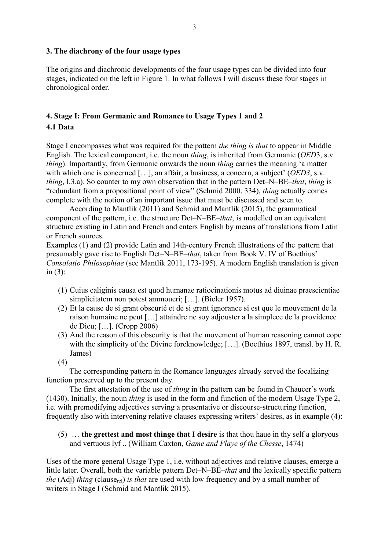### <span id="page-2-0"></span>**3. The diachrony of the four usage types**

The origins and diachronic developments of the four usage types can be divided into four stages, indicated on the left in Figure 1. In what follows I will discuss these four stages in chronological order.

# <span id="page-2-2"></span><span id="page-2-1"></span>**4. Stage I: From Germanic and Romance to Usage Types 1 and 2 4.1 Data**

Stage I encompasses what was required for the pattern *the thing is that* to appear in Middle English. The lexical component, i.e. the noun *thing*, is inherited from Germanic (*OED*3, s.v. *thing*). Importantly, from Germanic onwards the noun *thing* carries the meaning 'a matter with which one is concerned […], an affair, a business, a concern, a subject' (*OED3*, s.v. *thing*, I.3.a). So counter to my own observation that in the pattern Det–N–BE–*that*, *thing* is "redundant from a propositional point of view" (Schmid 2000, 334), *thing* actually comes complete with the notion of an important issue that must be discussed and seen to.

According to Mantlik (2011) and Schmid and Mantlik (2015), the grammatical component of the pattern, i.e. the structure Det–N–BE–*that*, is modelled on an equivalent structure existing in Latin and French and enters English by means of translations from Latin or French sources.

Examples (1) and (2) provide Latin and 14th-century French illustrations of the pattern that presumably gave rise to English Det–N–BE–*that*, taken from Book V. IV of Boethius' *Consolatio Philosophiae* (see Mantlik 2011, 173-195). A modern English translation is given in  $(3)$ :

- (1) Cuius caliginis causa est quod humanae ratiocinationis motus ad diuinae praescientiae simplicitatem non potest ammoueri; […]. (Bieler 1957).
- (2) Et la cause de si grant obscurté et de si grant ignorance si est que le mouvement de la raison humaine ne peut […] attaindre ne soy adjouster a la simplece de la providence de Dieu; […]. (Cropp 2006)
- (3) And the reason of this obscurity is that the movement of human reasoning cannot cope with the simplicity of the Divine foreknowledge; […]. (Boethius 1897, transl. by H. R. James)
- (4)

The corresponding pattern in the Romance languages already served the focalizing function preserved up to the present day.

The first attestation of the use of *thing* in the pattern can be found in Chaucer's work (1430). Initially, the noun *thing* is used in the form and function of the modern Usage Type 2, i.e. with premodifying adjectives serving a presentative or discourse-structuring function, frequently also with intervening relative clauses expressing writers' desires, as in example (4):

### (5) … **the grettest and most thinge that I desire** is that thou haue in thy self a gloryous and vertuous lyf .. (William Caxton, *Game and Playe of the Chesse*, 1474)

Uses of the more general Usage Type 1, i.e. without adjectives and relative clauses, emerge a little later. Overall, both the variable pattern Det–N–BE–*that* and the lexically specific pattern *the* (Adj) *thing* (clause<sub>rel</sub>) *is that* are used with low frequency and by a small number of writers in Stage I (Schmid and Mantlik 2015).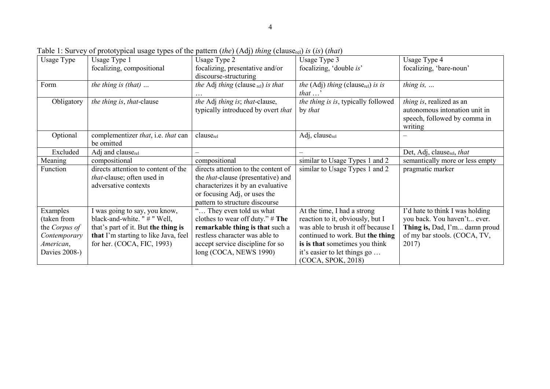| <b>Usage Type</b> | Usage Type 1                         | Usage Type 2                               | Usage Type 3                                     | Usage Type 4                           |
|-------------------|--------------------------------------|--------------------------------------------|--------------------------------------------------|----------------------------------------|
|                   | focalizing, compositional            | focalizing, presentative and/or            | focalizing, 'double is'                          | focalizing, 'bare-noun'                |
|                   |                                      | discourse-structuring                      |                                                  |                                        |
| Form              | the thing is $(that)$                | the Adj thing (clause rel) is that         | the $(Adj)$ thing (clause <sub>rel</sub> ) is is | thing is, $\ldots$                     |
|                   |                                      |                                            | $that \dots$                                     |                                        |
| Obligatory        | the thing is, that-clause            | the Adj thing is; that-clause,             | the thing is is, typically followed              | <i>thing is, realized as an</i>        |
|                   |                                      | typically introduced by overt that         | by that                                          | autonomous intonation unit in          |
|                   |                                      |                                            |                                                  | speech, followed by comma in           |
|                   |                                      |                                            |                                                  | writing                                |
| Optional          | complementizer that, i.e. that can   | clause <sub>rel</sub>                      | Adj, clause <sub>rel</sub>                       |                                        |
|                   | be omitted                           |                                            |                                                  |                                        |
| Excluded          | Adj and clause <sub>rel</sub>        |                                            |                                                  | Det, Adj, clause <sub>rel</sub> , that |
| Meaning           | compositional                        | compositional                              | similar to Usage Types 1 and 2                   | semantically more or less empty        |
| Function          | directs attention to content of the  | directs attention to the content of        | similar to Usage Types 1 and 2                   | pragmatic marker                       |
|                   | <i>that</i> -clause; often used in   | the <i>that</i> -clause (presentative) and |                                                  |                                        |
|                   | adversative contexts                 | characterizes it by an evaluative          |                                                  |                                        |
|                   |                                      | or focusing Adj, or uses the               |                                                  |                                        |
|                   |                                      | pattern to structure discourse             |                                                  |                                        |
| Examples          | I was going to say, you know,        | " They even told us what                   | At the time, I had a strong                      | I'd hate to think I was holding        |
| (taken from       | black-and-white. " $#$ " Well,       | clothes to wear off duty." $\#$ The        | reaction to it, obviously, but I                 | you back. You haven't ever.            |
| the Corpus of     | that's part of it. But the thing is  | remarkable thing is that such a            | was able to brush it off because I               | Thing is, Dad, I'm damn proud          |
| Contemporary      | that I'm starting to like Java, feel | restless character was able to             | continued to work. But the thing                 | of my bar stools. (COCA, TV,           |
| American,         | for her. (COCA, FIC, 1993)           | accept service discipline for so           | is is that sometimes you think                   | 2017)                                  |
| Davies 2008-)     |                                      | long (COCA, NEWS 1990)                     | it's easier to let things go                     |                                        |
|                   |                                      |                                            | (COCA, SPOK, 2018)                               |                                        |

Table 1: Survey of prototypical usage types of the pattern (*the*) (Adj) *thing* (clauserel) *is* (*is*) (*that*)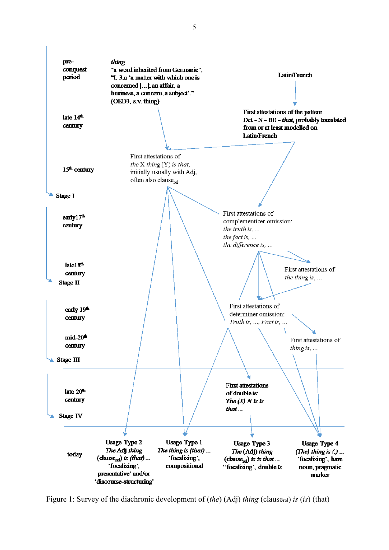

Figure 1: Survey of the diachronic development of (*the*) (Adj) *thing* (clauserel) *is* (*is*) (that)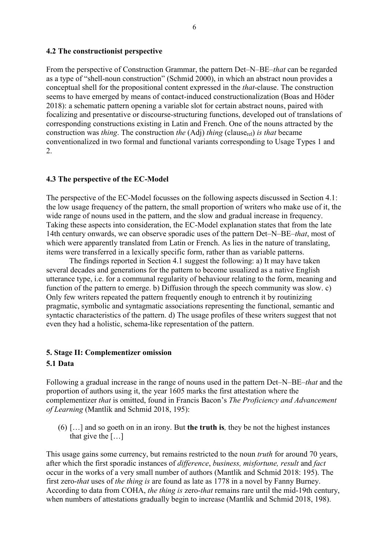### <span id="page-5-0"></span>**4.2 The constructionist perspective**

From the perspective of Construction Grammar, the pattern Det–N–BE–*that* can be regarded as a type of "shell-noun construction" (Schmid 2000), in which an abstract noun provides a conceptual shell for the propositional content expressed in the *that*-clause. The construction seems to have emerged by means of contact-induced constructionalization (Boas and Höder 2018): a schematic pattern opening a variable slot for certain abstract nouns, paired with focalizing and presentative or discourse-structuring functions, developed out of translations of corresponding constructions existing in Latin and French. One of the nouns attracted by the construction was *thing*. The construction *the* (Adj) *thing* (clauserel) *is that* became conventionalized in two formal and functional variants corresponding to Usage Types 1 and 2.

## <span id="page-5-1"></span>**4.3 The perspective of the EC-Model**

The perspective of the EC-Model focusses on the following aspects discussed in Section 4.1: the low usage frequency of the pattern, the small proportion of writers who make use of it, the wide range of nouns used in the pattern, and the slow and gradual increase in frequency. Taking these aspects into consideration, the EC-Model explanation states that from the late 14th century onwards, we can observe sporadic uses of the pattern Det–N–BE–*that*, most of which were apparently translated from Latin or French. As lies in the nature of translating, items were transferred in a lexically specific form, rather than as variable patterns.

The findings reported in Section 4.1 suggest the following: a) It may have taken several decades and generations for the pattern to become usualized as a native English utterance type, i.e. for a communal regularity of behaviour relating to the form, meaning and function of the pattern to emerge. b) Diffusion through the speech community was slow. c) Only few writers repeated the pattern frequently enough to entrench it by routinizing pragmatic, symbolic and syntagmatic associations representing the functional, semantic and syntactic characteristics of the pattern. d) The usage profiles of these writers suggest that not even they had a holistic, schema-like representation of the pattern.

## <span id="page-5-2"></span>**5. Stage II: Complementizer omission**

### <span id="page-5-3"></span>**5.1 Data**

Following a gradual increase in the range of nouns used in the pattern Det–N–BE–*that* and the proportion of authors using it, the year 1605 marks the first attestation where the complementizer *that* is omitted, found in Francis Bacon's *The Proficiency and Advancement of Learning* (Mantlik and Schmid 2018, 195):

(6) […] and so goeth on in an irony. But **the truth is***,* they be not the highest instances that give the  $[\dots]$ 

This usage gains some currency, but remains restricted to the noun *truth* for around 70 years, after which the first sporadic instances of *difference*, *business, misfortune, result* and *fact* occur in the works of a very small number of authors (Mantlik and Schmid 2018: 195). The first zero-*that* uses of *the thing is* are found as late as 1778 in a novel by Fanny Burney. According to data from COHA, *the thing is* zero-*that* remains rare until the mid-19th century, when numbers of attestations gradually begin to increase (Mantlik and Schmid 2018, 198).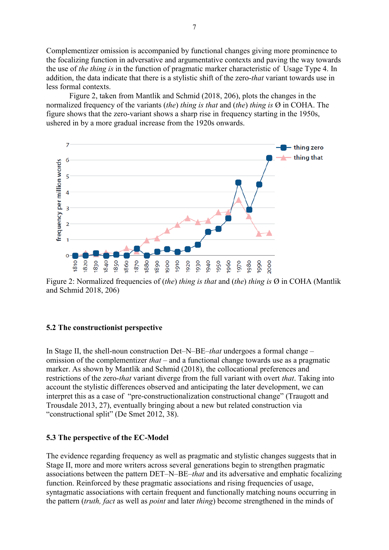Complementizer omission is accompanied by functional changes giving more prominence to the focalizing function in adversative and argumentative contexts and paving the way towards the use of *the thing is* in the function of pragmatic marker characteristic of Usage Type 4. In addition, the data indicate that there is a stylistic shift of the zero-*that* variant towards use in less formal contexts.

Figure 2, taken from Mantlik and Schmid (2018, 206), plots the changes in the normalized frequency of the variants (*the*) *thing is that* and (*the*) *thing is* Ø in COHA. The figure shows that the zero-variant shows a sharp rise in frequency starting in the 1950s, ushered in by a more gradual increase from the 1920s onwards.



Figure 2: Normalized frequencies of (*the*) *thing is that* and (*the*) *thing is* Ø in COHA (Mantlik and Schmid 2018, 206)

### <span id="page-6-0"></span>**5.2 The constructionist perspective**

In Stage II, the shell-noun construction Det–N–BE–*that* undergoes a formal change – omission of the complementizer *that* – and a functional change towards use as a pragmatic marker. As shown by Mantlik and Schmid (2018), the collocational preferences and restrictions of the zero-*that* variant diverge from the full variant with overt *that*. Taking into account the stylistic differences observed and anticipating the later development, we can interpret this as a case of "pre-constructionalization constructional change" (Traugott and Trousdale 2013, 27), eventually bringing about a new but related construction via "constructional split" (De Smet 2012, 38).

### <span id="page-6-1"></span>**5.3 The perspective of the EC-Model**

The evidence regarding frequency as well as pragmatic and stylistic changes suggests that in Stage II, more and more writers across several generations begin to strengthen pragmatic associations between the pattern DET–N–BE–*that* and its adversative and emphatic focalizing function. Reinforced by these pragmatic associations and rising frequencies of usage, syntagmatic associations with certain frequent and functionally matching nouns occurring in the pattern (*truth, fact* as well as *point* and later *thing*) become strengthened in the minds of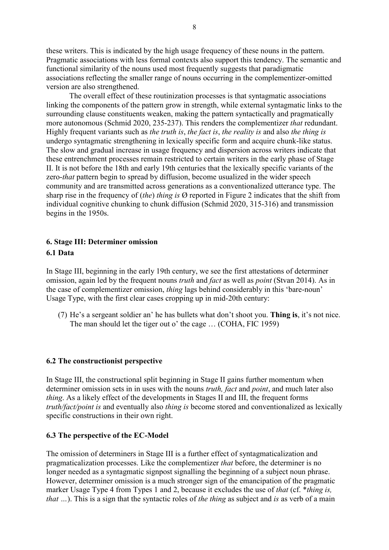these writers. This is indicated by the high usage frequency of these nouns in the pattern. Pragmatic associations with less formal contexts also support this tendency. The semantic and functional similarity of the nouns used most frequently suggests that paradigmatic associations reflecting the smaller range of nouns occurring in the complementizer-omitted version are also strengthened.

The overall effect of these routinization processes is that syntagmatic associations linking the components of the pattern grow in strength, while external syntagmatic links to the surrounding clause constituents weaken, making the pattern syntactically and pragmatically more autonomous (Schmid 2020, 235-237). This renders the complementizer *that* redundant. Highly frequent variants such as *the truth is*, *the fact is*, *the reality is* and also *the thing is* undergo syntagmatic strengthening in lexically specific form and acquire chunk-like status. The slow and gradual increase in usage frequency and dispersion across writers indicate that these entrenchment processes remain restricted to certain writers in the early phase of Stage II. It is not before the 18th and early 19th centuries that the lexically specific variants of the zero-*that* pattern begin to spread by diffusion, become usualized in the wider speech community and are transmitted across generations as a conventionalized utterance type. The sharp rise in the frequency of (*the*) *thing is* Ø reported in Figure 2 indicates that the shift from individual cognitive chunking to chunk diffusion (Schmid 2020, 315-316) and transmission begins in the 1950s.

## <span id="page-7-1"></span><span id="page-7-0"></span>**6. Stage III: Determiner omission 6.1 Data**

In Stage III, beginning in the early 19th century, we see the first attestations of determiner omission, again led by the frequent nouns *truth* and *fact* as well as *point* (Stvan 2014). As in the case of complementizer omission, *thing* lags behind considerably in this 'bare-noun' Usage Type, with the first clear cases cropping up in mid-20th century:

(7) He's a sergeant soldier an' he has bullets what don't shoot you. **Thing is**, it's not nice. The man should let the tiger out o' the cage … (COHA, FIC 1959)

### <span id="page-7-2"></span>**6.2 The constructionist perspective**

In Stage III, the constructional split beginning in Stage II gains further momentum when determiner omission sets in in uses with the nouns *truth, fact* and *point*, and much later also *thing*. As a likely effect of the developments in Stages II and III, the frequent forms *truth/fact/point is* and eventually also *thing is* become stored and conventionalized as lexically specific constructions in their own right.

### <span id="page-7-3"></span>**6.3 The perspective of the EC-Model**

The omission of determiners in Stage III is a further effect of syntagmaticalization and pragmaticalization processes. Like the complementizer *that* before, the determiner is no longer needed as a syntagmatic signpost signalling the beginning of a subject noun phrase. However, determiner omission is a much stronger sign of the emancipation of the pragmatic marker Usage Type 4 from Types 1 and 2, because it excludes the use of *that* (cf. \**thing is, that …*). This is a sign that the syntactic roles of *the thing* as subject and *is* as verb of a main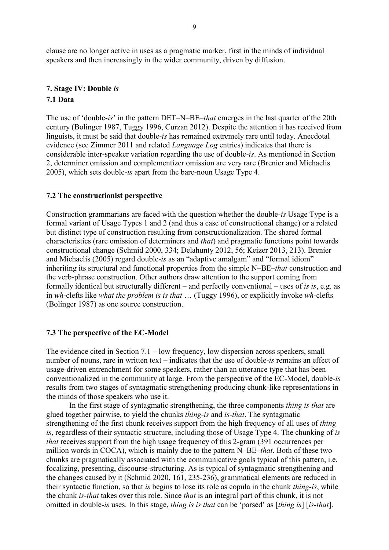clause are no longer active in uses as a pragmatic marker, first in the minds of individual speakers and then increasingly in the wider community, driven by diffusion.

### <span id="page-8-1"></span><span id="page-8-0"></span>**7. Stage IV: Double** *is* **7.1 Data**

The use of 'double-*is*' in the pattern DET–N–BE–*that* emerges in the last quarter of the 20th century (Bolinger 1987, Tuggy 1996, Curzan 2012). Despite the attention it has received from linguists, it must be said that double-*is* has remained extremely rare until today. Anecdotal evidence (see Zimmer 2011 and related *Language Log* entries) indicates that there is considerable inter-speaker variation regarding the use of double-*is*. As mentioned in Section 2, determiner omission and complementizer omission are very rare (Brenier and Michaelis 2005), which sets double-*is* apart from the bare-noun Usage Type 4.

## <span id="page-8-2"></span>**7.2 The constructionist perspective**

Construction grammarians are faced with the question whether the double-*is* Usage Type is a formal variant of Usage Types 1 and 2 (and thus a case of constructional change) or a related but distinct type of construction resulting from constructionalization. The shared formal characteristics (rare omission of determiners and *that*) and pragmatic functions point towards constructional change (Schmid 2000, 334; Delahunty 2012, 56; Keizer 2013, 213). Brenier and Michaelis (2005) regard double-*is* as an "adaptive amalgam" and "formal idiom" inheriting its structural and functional properties from the simple N–BE–*that* construction and the verb-phrase construction. Other authors draw attention to the support coming from formally identical but structurally different – and perfectly conventional – uses of *is is*, e.g. as in *wh*-clefts like *what the problem is is that* … (Tuggy 1996), or explicitly invoke *wh*-clefts (Bolinger 1987) as one source construction.

#### <span id="page-8-3"></span>**7.3 The perspective of the EC-Model**

The evidence cited in Section  $7.1 - low$  frequency, low dispersion across speakers, small number of nouns, rare in written text – indicates that the use of double-*is* remains an effect of usage-driven entrenchment for some speakers, rather than an utterance type that has been conventionalized in the community at large. From the perspective of the EC-Model, double-*is* results from two stages of syntagmatic strengthening producing chunk-like representations in the minds of those speakers who use it.

In the first stage of syntagmatic strengthening, the three components *thing is that* are glued together pairwise, to yield the chunks *thing-is* and *is-that*. The syntagmatic strengthening of the first chunk receives support from the high frequency of all uses of *thing is*, regardless of their syntactic structure, including those of Usage Type 4. The chunking of *is that* receives support from the high usage frequency of this 2-gram (391 occurrences per million words in COCA), which is mainly due to the pattern N–BE*–that*. Both of these two chunks are pragmatically associated with the communicative goals typical of this pattern, i.e. focalizing, presenting, discourse-structuring. As is typical of syntagmatic strengthening and the changes caused by it (Schmid 2020, 161, 235-236), grammatical elements are reduced in their syntactic function, so that *is* begins to lose its role as copula in the chunk *thing-is*, while the chunk *is-that* takes over this role. Since *that* is an integral part of this chunk, it is not omitted in double-*is* uses. In this stage, *thing is is that* can be 'parsed' as [*thing is*] [*is-that*].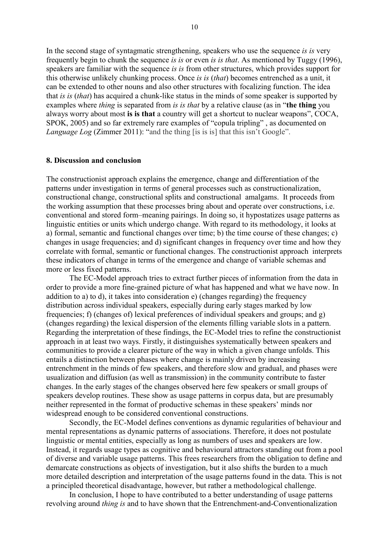In the second stage of syntagmatic strengthening, speakers who use the sequence *is is* very frequently begin to chunk the sequence *is is* or even *is is that*. As mentioned by Tuggy (1996), speakers are familiar with the sequence *is is* from other structures, which provides support for this otherwise unlikely chunking process. Once *is is* (*that*) becomes entrenched as a unit, it can be extended to other nouns and also other structures with focalizing function. The idea that *is is* (*that*) has acquired a chunk-like status in the minds of some speaker is supported by examples where *thing* is separated from *is is that* by a relative clause (as in "**the thing** you always worry about most **is is that** a country will get a shortcut to nuclear weapons", COCA, SPOK, 2005) and so far extremely rare examples of "copula tripling" , as documented on *Language Log* (Zimmer 2011): "and the thing [is is is] that this isn't Google".

### <span id="page-9-0"></span>**8. Discussion and conclusion**

The constructionist approach explains the emergence, change and differentiation of the patterns under investigation in terms of general processes such as constructionalization, constructional change, constructional splits and constructional amalgams. It proceeds from the working assumption that these processes bring about and operate over constructions, i.e. conventional and stored form–meaning pairings. In doing so, it hypostatizes usage patterns as linguistic entities or units which undergo change. With regard to its methodology, it looks at a) formal, semantic and functional changes over time; b) the time course of these changes; c) changes in usage frequencies; and d) significant changes in frequency over time and how they correlate with formal, semantic or functional changes. The constructionist approach interprets these indicators of change in terms of the emergence and change of variable schemas and more or less fixed patterns.

The EC-Model approach tries to extract further pieces of information from the data in order to provide a more fine-grained picture of what has happened and what we have now. In addition to a) to d), it takes into consideration e) (changes regarding) the frequency distribution across individual speakers, especially during early stages marked by low frequencies; f) (changes of) lexical preferences of individual speakers and groups; and g) (changes regarding) the lexical dispersion of the elements filling variable slots in a pattern. Regarding the interpretation of these findings, the EC-Model tries to refine the constructionist approach in at least two ways. Firstly, it distinguishes systematically between speakers and communities to provide a clearer picture of the way in which a given change unfolds. This entails a distinction between phases where change is mainly driven by increasing entrenchment in the minds of few speakers, and therefore slow and gradual, and phases were usualization and diffusion (as well as transmission) in the community contribute to faster changes. In the early stages of the changes observed here few speakers or small groups of speakers develop routines. These show as usage patterns in corpus data, but are presumably neither represented in the format of productive schemas in these speakers' minds nor widespread enough to be considered conventional constructions.

Secondly, the EC-Model defines conventions as dynamic regularities of behaviour and mental representations as dynamic patterns of associations. Therefore, it does not postulate linguistic or mental entities, especially as long as numbers of uses and speakers are low. Instead, it regards usage types as cognitive and behavioural attractors standing out from a pool of diverse and variable usage patterns. This frees researchers from the obligation to define and demarcate constructions as objects of investigation, but it also shifts the burden to a much more detailed description and interpretation of the usage patterns found in the data. This is not a principled theoretical disadvantage, however, but rather a methodological challenge.

In conclusion, I hope to have contributed to a better understanding of usage patterns revolving around *thing is* and to have shown that the Entrenchment-and-Conventionalization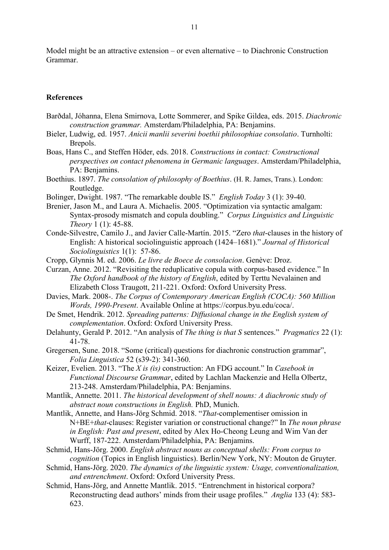Model might be an attractive extension – or even alternative – to Diachronic Construction Grammar.

#### <span id="page-10-0"></span>**References**

- Barðdal, Jóhanna, Elena Smirnova, Lotte Sommerer, and Spike Gildea, eds. 2015. *Diachronic construction grammar.* Amsterdam/Philadelphia, PA: Benjamins.
- Bieler, Ludwig, ed. 1957. *Anicii manlii severini boethii philosophiae consolatio*. Turnholti: Brepols.
- Boas, Hans C., and Steffen Höder, eds. 2018. *Constructions in contact: Constructional perspectives on contact phenomena in Germanic languages*. Amsterdam/Philadelphia, PA: Benjamins.
- Boethius. 1897. *The consolation of philosophy of Boethius*. (H. R. James, Trans.). London: Routledge.
- Bolinger, Dwight. 1987. "The remarkable double IS." *English Today* 3 (1): 39-40.
- Brenier, Jason M., and Laura A. Michaelis. 2005. "Optimization via syntactic amalgam: Syntax-prosody mismatch and copula doubling." *Corpus Linguistics and Linguistic Theory* 1 (1): 45-88.
- Conde-Silvestre, Camilo J., and Javier Calle-Martín. 2015. "Zero *that*-clauses in the history of English: A historical sociolinguistic approach (1424–1681)." *Journal of Historical Sociolinguistics* 1(1): 57-86.
- Cropp, Glynnis M. ed. 2006. *Le livre de Boece de consolacion*. Genève: Droz.
- Curzan, Anne. 2012. "Revisiting the reduplicative copula with corpus-based evidence." In *The Oxford handbook of the history of English*, edited by Terttu Nevalainen and Elizabeth Closs Traugott, 211-221. Oxford: Oxford University Press.
- Davies, Mark. 2008-. *The Corpus of Contemporary American English (COCA): 560 Million Words, 1990-Present*. Available Online at https://corpus.byu.edu/coca/.
- De Smet, Hendrik. 2012. *Spreading patterns: Diffusional change in the English system of complementation*. Oxford: Oxford University Press.
- Delahunty, Gerald P. 2012. "An analysis of *The thing is that S* sentences." *Pragmatics* 22 (1): 41-78.
- Gregersen, Sune. 2018. "Some (critical) questions for diachronic construction grammar", *Folia Linguistica* 52 (s39-2): 341-360.
- Keizer, Evelien. 2013. "The *X is (is)* construction: An FDG account." In *Casebook in Functional Discourse Grammar*, edited by Lachlan Mackenzie and Hella Olbertz, 213-248. Amsterdam/Philadelphia, PA: Benjamins.
- Mantlik, Annette. 2011. *The historical development of shell nouns: A diachronic study of abstract noun constructions in English.* PhD, Munich.
- Mantlik, Annette, and Hans-Jörg Schmid. 2018. "*That*-complementiser omission in N+BE+*that*-clauses: Register variation or constructional change?" In *The noun phrase in English: Past and present*, edited by Alex Ho-Cheong Leung and Wim Van der Wurff, 187-222. Amsterdam/Philadelphia, PA: Benjamins.
- Schmid, Hans-Jörg. 2000. *English abstract nouns as conceptual shells: From corpus to cognition* (Topics in English linguistics). Berlin/New York, NY: Mouton de Gruyter.
- Schmid, Hans-Jörg. 2020. *The dynamics of the linguistic system: Usage, conventionalization, and entrenchment*. Oxford: Oxford University Press.
- Schmid, Hans-Jörg, and Annette Mantlik. 2015. "Entrenchment in historical corpora? Reconstructing dead authors' minds from their usage profiles." *Anglia* 133 (4): 583- 623.